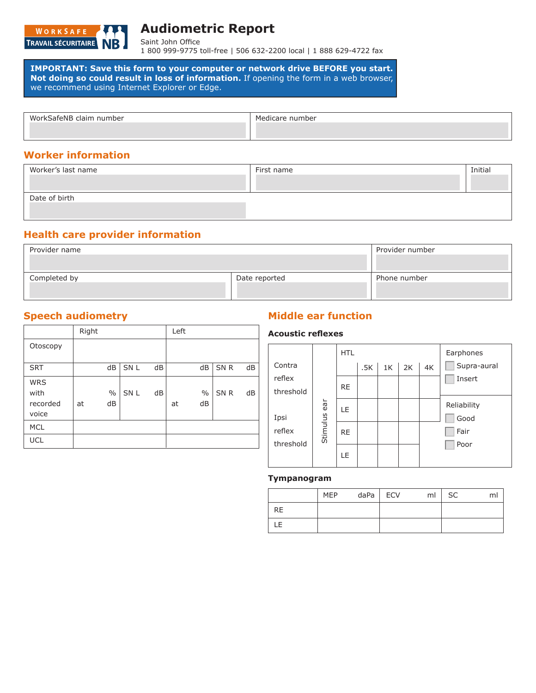

# **Audiometric Report**

Saint John Office 1 800 999-9775 toll-free | 506 632-2200 local | 1 888 629-4722 fax

 **IMPORTANT: Save this form to your computer or network drive BEFORE you start. Not doing so could result in loss of information.** If opening the form in a web browser, we recommend using Internet Explorer or Edge.

| WorkSafeNB claim number | Medicare number |
|-------------------------|-----------------|
|                         |                 |
|                         |                 |
|                         |                 |

### **Worker information**

| Worker's last name | First name | Initial |
|--------------------|------------|---------|
| Date of birth      |            |         |
|                    |            |         |

#### **Health care provider information**

| Provider name |               | Provider number |  |  |  |
|---------------|---------------|-----------------|--|--|--|
| Completed by  | Date reported | Phone number    |  |  |  |

|                                         | Right |                     |                 |    | Left |                     |                 |    |
|-----------------------------------------|-------|---------------------|-----------------|----|------|---------------------|-----------------|----|
| Otoscopy                                |       |                     |                 |    |      |                     |                 |    |
| <b>SRT</b>                              |       | dB                  | SN L            | dB |      | dB                  | SN <sub>R</sub> | dB |
| <b>WRS</b><br>with<br>recorded<br>voice | at    | $\frac{0}{0}$<br>dB | SN <sub>L</sub> | dB | at   | $\frac{0}{0}$<br>dB | SN <sub>R</sub> | dB |
| <b>MCL</b>                              |       |                     |                 |    |      |                     |                 |    |
| <b>UCL</b>                              |       |                     |                 |    |      |                     |                 |    |

### **Speech audiometry <b>Middle ear function**

#### **Acoustic reflexes**

| Contra              |          | <b>HTL</b> | .5K | 1 <sub>K</sub> | 2K | 4K | Earphones<br>Supra-aural |
|---------------------|----------|------------|-----|----------------|----|----|--------------------------|
| reflex              |          |            |     |                |    |    | Insert                   |
| threshold           |          | <b>RE</b>  |     |                |    |    |                          |
| Ipsi                | ar       | LE         |     |                |    |    | Reliability<br>Good      |
| reflex<br>threshold | Stimulus | <b>RE</b>  |     |                |    |    | Fair                     |
|                     |          | LE         |     |                |    |    | Poor                     |

#### **Tympanogram**

|           | <b>MEP</b> | $daPa$ ECV | ml | SC |  |
|-----------|------------|------------|----|----|--|
| <b>RE</b> |            |            |    |    |  |
| LE        |            |            |    |    |  |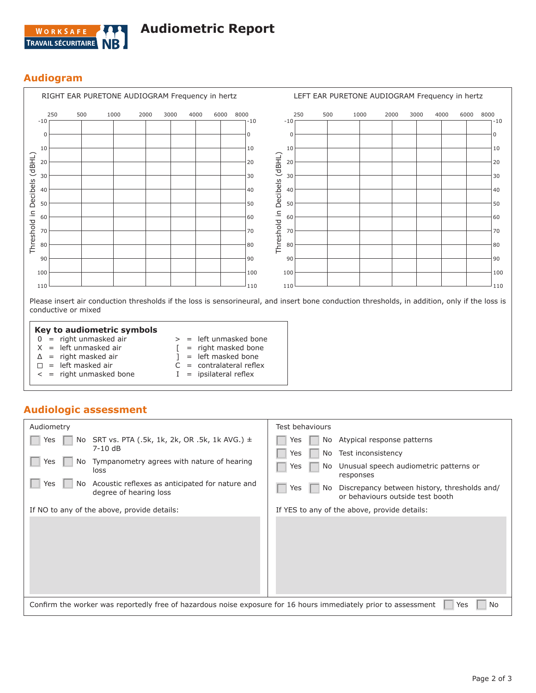

### **Audiogram**

| $-10$ | 250 | 500 | 1000 | 2000 | 3000 | 4000 | 6000 | 8000 | -10      | $-10$          | 250      | 500 | 1000 | 2000 | 3000 | 4000 | 6000 | 8000 |
|-------|-----|-----|------|------|------|------|------|------|----------|----------------|----------|-----|------|------|------|------|------|------|
| 0     |     |     |      |      |      |      |      |      | $\Omega$ |                | $\Omega$ |     |      |      |      |      |      |      |
| 10    |     |     |      |      |      |      |      |      | 10       | 10             |          |     |      |      |      |      |      |      |
| 20    |     |     |      |      |      |      |      |      | 20       | (dBHL)<br>20   |          |     |      |      |      |      |      |      |
| 30    |     |     |      |      |      |      |      |      | 30       | 30             |          |     |      |      |      |      |      |      |
| 40    |     |     |      |      |      |      |      |      | 40       | Decibels<br>40 |          |     |      |      |      |      |      |      |
| 50    |     |     |      |      |      |      |      |      | 50       | 50             |          |     |      |      |      |      |      |      |
| 60    |     |     |      |      |      |      |      |      | 60       | 60             |          |     |      |      |      |      |      |      |
| 70    |     |     |      |      |      |      |      |      | 70       | Threshold in   | 70       |     |      |      |      |      |      |      |
| 80    |     |     |      |      |      |      |      |      | 80       | 80             |          |     |      |      |      |      |      |      |
| 90    |     |     |      |      |      |      |      |      | 90       | 90             |          |     |      |      |      |      |      |      |
| 100   |     |     |      |      |      |      |      |      | 100      | 100            |          |     |      |      |      |      |      |      |
| 110   |     |     |      |      |      |      |      |      | 110      | 110            |          |     |      |      |      |      |      |      |

#### **Key to audiometric symbols**

- $0 =$  right unmasked air > = left unmasked bone
- $X =$  left unmasked air
- [ = right masked bone
- $\Delta$  = right masked air  $\Box$  = left masked air
- ] = left masked bone
- 
- < = right unmasked bone
- $C =$  contralateral reflex  $I =$  ipsilateral reflex

### **Audiologic assessment**

| Audiometry                                                                                                      | Test behaviours                                                                               |  |  |  |  |  |  |
|-----------------------------------------------------------------------------------------------------------------|-----------------------------------------------------------------------------------------------|--|--|--|--|--|--|
| No SRT vs. PTA (.5k, 1k, 2k, OR .5k, 1k AVG.) $\pm$<br>Yes                                                      | Atypical response patterns<br>No.<br>Yes                                                      |  |  |  |  |  |  |
| $7-10$ dB                                                                                                       | Test inconsistency<br>Yes<br>No                                                               |  |  |  |  |  |  |
| Tympanometry agrees with nature of hearing<br>Yes<br>No.<br>loss                                                | Unusual speech audiometric patterns or<br>Yes<br>No.<br>responses                             |  |  |  |  |  |  |
| Acoustic reflexes as anticipated for nature and<br>Yes<br>No.<br>degree of hearing loss                         | Discrepancy between history, thresholds and/<br>Yes<br>No<br>or behaviours outside test booth |  |  |  |  |  |  |
| If NO to any of the above, provide details:                                                                     | If YES to any of the above, provide details:                                                  |  |  |  |  |  |  |
|                                                                                                                 |                                                                                               |  |  |  |  |  |  |
| Confirm the worker was reportedly free of hazardous noise exposure for 16 hours immediately prior to assessment | No<br>Yes                                                                                     |  |  |  |  |  |  |
|                                                                                                                 |                                                                                               |  |  |  |  |  |  |